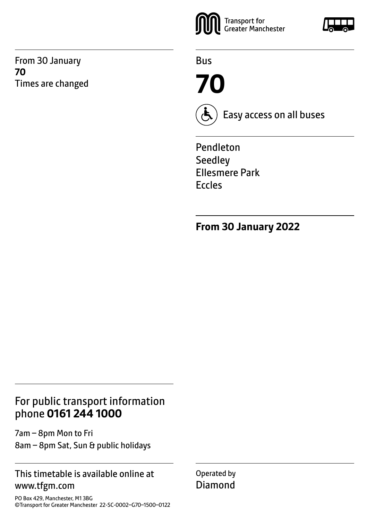From 30 January **70** Times are changed





Bus

**70**



Easy access on all buses

Pendleton **Seedley** Ellesmere Park Eccles

**From 30 January 2022**

#### For public transport information phone **0161 244 1000**

7am – 8pm Mon to Fri 8am – 8pm Sat, Sun & public holidays

#### This timetable is available online at www.tfgm.com

PO Box 429, Manchester, M1 3BG ©Transport for Greater Manchester 22-SC-0002–G70–1500–0122 Operated by Diamond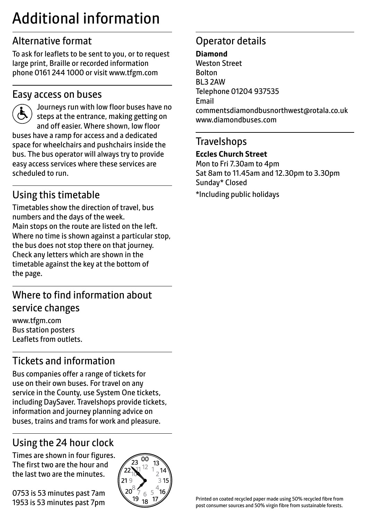## Additional information

## Alternative format

To ask for leaflets to be sent to you, or to request large print, Braille or recorded information phone 0161 244 1000 or visit www.tfgm.com

#### Easy access on buses



 Journeys run with low floor buses have no steps at the entrance, making getting on and off easier. Where shown, low floor buses have a ramp for access and a dedicated space for wheelchairs and pushchairs inside the bus. The bus operator will always try to provide easy access services where these services are scheduled to run.

## Using this timetable

Timetables show the direction of travel, bus numbers and the days of the week. Main stops on the route are listed on the left. Where no time is shown against a particular stop, the bus does not stop there on that journey. Check any letters which are shown in the timetable against the key at the bottom of the page.

## Where to find information about service changes

www.tfgm.com Bus station posters Leaflets from outlets.

## Tickets and information

Bus companies offer a range of tickets for use on their own buses. For travel on any service in the County, use System One tickets, including DaySaver. Travelshops provide tickets, information and journey planning advice on buses, trains and trams for work and pleasure.

## Using the 24 hour clock

Times are shown in four figures. The first two are the hour and the last two are the minutes.

0753 is 53 minutes past 7am 1953 is 53 minutes past 7pm



## Operator details

#### **Diamond**

Weston Street Bolton BL3 2AW Telephone 01204 937535 Email commentsdiamondbusnorthwest@rotala.co.uk www.diamondbuses.com

#### **Travelshops**

#### **Eccles Church Street**

Mon to Fri 7.30am to 4pm Sat 8am to 11.45am and 12.30pm to 3.30pm Sunday\* Closed \*Including public holidays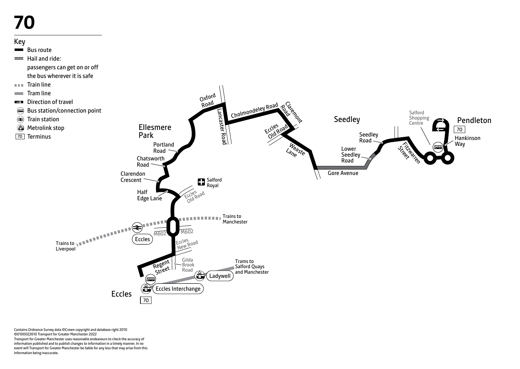# **70**



Contains Ordnance Survey data ©Crown copyright and database right 2010 ©0100022610 Transport for Greater Manchester 2022 Transport for Greater Manchester uses reasonable endeavours to check the accuracy of information published and to publish changes to information in a timely manner. In no event will Transport for Greater Manchester be liable for any loss that may arise from this information being inaccurate.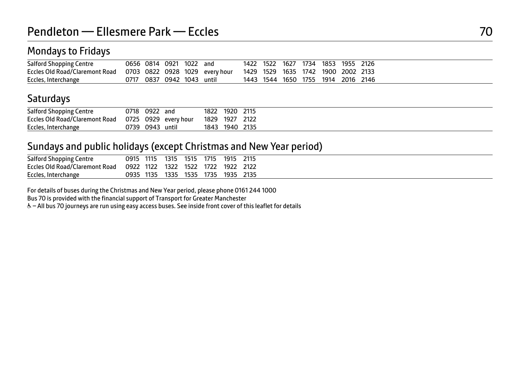#### Mondays to Fridays

| <b>Salford Shopping Centre</b>                                                                   | 0656 0814 0921 1022 and   |  |  | 1422 1522 1627 1734 1853 1955 2126 |  |  |  |
|--------------------------------------------------------------------------------------------------|---------------------------|--|--|------------------------------------|--|--|--|
| Eccles Old Road/Claremont Road 0703 0822 0928 1029 every hour 1429 1529 1635 1742 1900 2002 2133 |                           |  |  |                                    |  |  |  |
| Eccles, Interchange                                                                              | 0717 0837 0942 1043 until |  |  | 1443 1544 1650 1755 1914 2016 2146 |  |  |  |

#### **Saturdays**

| <b>Salford Shopping Centre</b>        | 0718 | 0922 | and        | 1822 | 1920 | 2115 |  |
|---------------------------------------|------|------|------------|------|------|------|--|
| <b>Eccles Old Road/Claremont Road</b> | 0725 | 0929 | everv hour | 1829 | 1927 | 2122 |  |
| Eccles, Interchange                   | 0739 | 0943 | until      | 1843 | 1940 | 2135 |  |

#### Sundays and public holidays (except Christmas and New Year period)

| <b>Salford Shopping Centre</b>        |                                    | 0915 1115 1315 1515 1715 1915 2115 |  |  |
|---------------------------------------|------------------------------------|------------------------------------|--|--|
| <b>Eccles Old Road/Claremont Road</b> | 0922 1122 1322 1522 1722 1922 2122 |                                    |  |  |
| Eccles, Interchange                   |                                    | 0935 1135 1335 1535 1735 1935 2135 |  |  |

For details of buses during the Christmas and New Year period, please phone 0161 244 1000

Bus 70 is provided with the financial support of Transport for Greater Manchester

& - All bus 70 journeys are run using easy access buses. See inside front cover of this leaflet for details